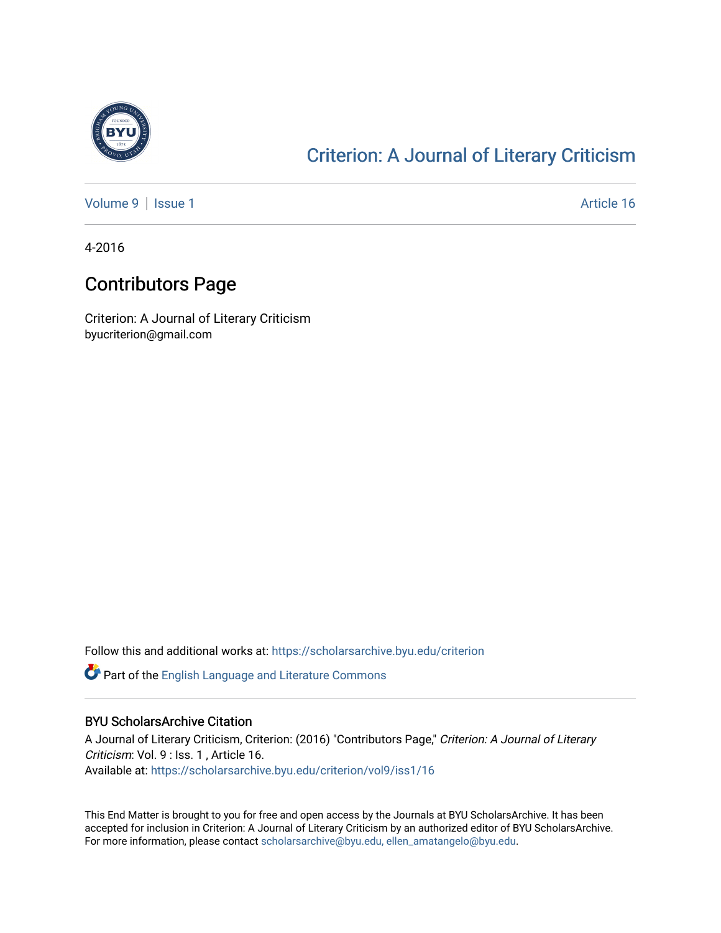

## [Criterion: A Journal of Literary Criticism](https://scholarsarchive.byu.edu/criterion)

[Volume 9](https://scholarsarchive.byu.edu/criterion/vol9) | [Issue 1](https://scholarsarchive.byu.edu/criterion/vol9/iss1) Article 16

4-2016

## Contributors Page

Criterion: A Journal of Literary Criticism byucriterion@gmail.com

Follow this and additional works at: [https://scholarsarchive.byu.edu/criterion](https://scholarsarchive.byu.edu/criterion?utm_source=scholarsarchive.byu.edu%2Fcriterion%2Fvol9%2Fiss1%2F16&utm_medium=PDF&utm_campaign=PDFCoverPages) 

Part of the [English Language and Literature Commons](http://network.bepress.com/hgg/discipline/455?utm_source=scholarsarchive.byu.edu%2Fcriterion%2Fvol9%2Fiss1%2F16&utm_medium=PDF&utm_campaign=PDFCoverPages)

## BYU ScholarsArchive Citation

A Journal of Literary Criticism, Criterion: (2016) "Contributors Page," Criterion: A Journal of Literary Criticism: Vol. 9 : Iss. 1 , Article 16. Available at: [https://scholarsarchive.byu.edu/criterion/vol9/iss1/16](https://scholarsarchive.byu.edu/criterion/vol9/iss1/16?utm_source=scholarsarchive.byu.edu%2Fcriterion%2Fvol9%2Fiss1%2F16&utm_medium=PDF&utm_campaign=PDFCoverPages)

This End Matter is brought to you for free and open access by the Journals at BYU ScholarsArchive. It has been accepted for inclusion in Criterion: A Journal of Literary Criticism by an authorized editor of BYU ScholarsArchive. For more information, please contact [scholarsarchive@byu.edu, ellen\\_amatangelo@byu.edu](mailto:scholarsarchive@byu.edu,%20ellen_amatangelo@byu.edu).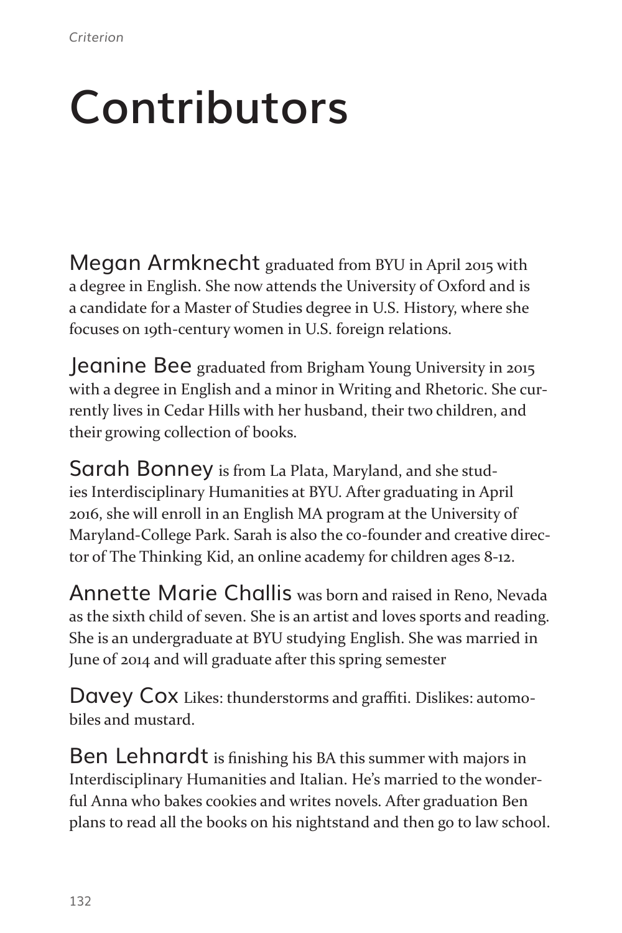## **Contributors**

Megan Armknecht graduated from BYU in April 2015 with a degree in English. She now attends the University of Oxford and is a candidate for a Master of Studies degree in U.S. History, where she focuses on 19th-century women in U.S. foreign relations.

Jeanine Bee graduated from Brigham Young University in 2015 with a degree in English and a minor in Writing and Rhetoric. She currently lives in Cedar Hills with her husband, their two children, and their growing collection of books.

Sarah Bonney is from La Plata, Maryland, and she studies Interdisciplinary Humanities at BYU. After graduating in April 2016, she will enroll in an English MA program at the University of Maryland-College Park. Sarah is also the co-founder and creative director of The Thinking Kid, an online academy for children ages 8-12.

Annette Marie Challis was born and raised in Reno, Nevada as the sixth child of seven. She is an artist and loves sports and reading. She is an undergraduate at BYU studying English. She was married in June of 2014 and will graduate after this spring semester

Davey Cox Likes: thunderstorms and graffiti. Dislikes: automobiles and mustard.

Ben Lehnardt is finishing his BA this summer with majors in Interdisciplinary Humanities and Italian. He's married to the wonderful Anna who bakes cookies and writes novels. After graduation Ben plans to read all the books on his nightstand and then go to law school.